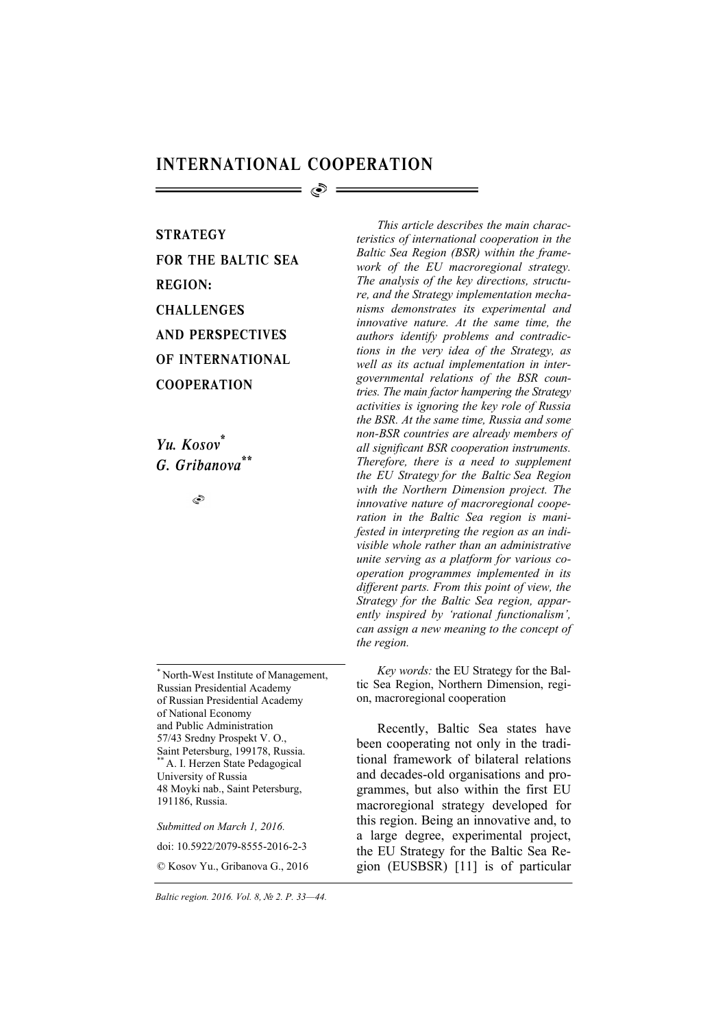## INTERNATIONAL COOPERATION

ේ =

**STRATEGY** FOR THE BALTIC SEA REGION: **CHALLENGES** AND PERSPECTIVES OF INTERNATIONAL **COOPERATION** 

*Yu. Kosov\* G. Gribanova\*\**

۹

\* North-West Institute of Management, Russian Presidential Academy of Russian Presidential Academy of National Economy and Public Administration 57/43 Sredny Prospekt V. O., Saint Petersburg, 199178, Russia. \*\* A. I. Herzen State Pedagogical University of Russia 48 Moyki nab., Saint Petersburg, 191186, Russia.

*Submitted on March 1, 2016.* 

doi: 10.5922/2079-8555-2016-2-3

© Kosov Yu., Gribanova G., 2016

*This article describes the main characteristics of international cooperation in the Baltic Sea Region (BSR) within the framework of the EU macroregional strategy. The analysis of the key directions, structure, and the Strategy implementation mechanisms demonstrates its experimental and innovative nature. At the same time, the authors identify problems and contradictions in the very idea of the Strategy, as well as its actual implementation in intergovernmental relations of the BSR countries. The main factor hampering the Strategy activities is ignoring the key role of Russia the BSR. At the same time, Russia and some non-BSR countries are already members of all significant BSR cooperation instruments. Therefore, there is a need to supplement the EU Strategy for the Baltic Sea Region with the Northern Dimension project. The innovative nature of macroregional cooperation in the Baltic Sea region is manifested in interpreting the region as an indivisible whole rather than an administrative unite serving as a platform for various cooperation programmes implemented in its different parts. From this point of view, the Strategy for the Baltic Sea region, apparently inspired by 'rational functionalism', can assign a new meaning to the concept of the region.* 

*Key words:* the EU Strategy for the Baltic Sea Region, Northern Dimension, region, macroregional cooperation

Recently, Baltic Sea states have been cooperating not only in the traditional framework of bilateral relations and decades-old organisations and programmes, but also within the first EU macroregional strategy developed for this region. Being an innovative and, to a large degree, experimental project, the EU Strategy for the Baltic Sea Region (EUSBSR) [11] is of particular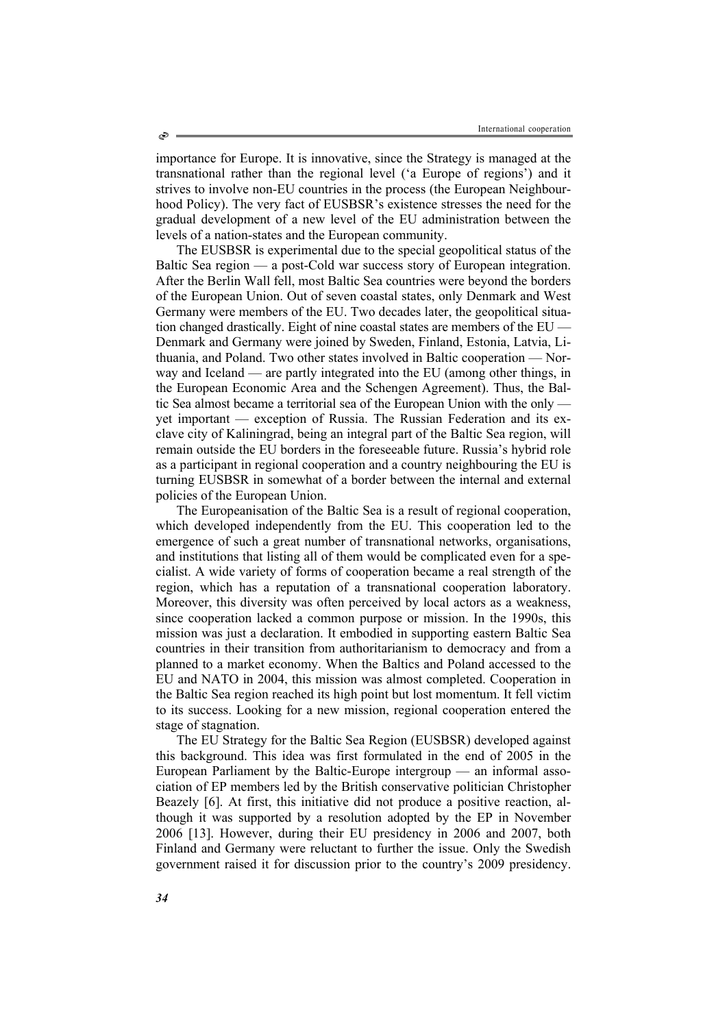importance for Europe. It is innovative, since the Strategy is managed at the transnational rather than the regional level ('a Europe of regions') and it strives to involve non-EU countries in the process (the European Neighbourhood Policy). The very fact of EUSBSR's existence stresses the need for the gradual development of a new level of the EU administration between the levels of a nation-states and the European community.

The EUSBSR is experimental due to the special geopolitical status of the Baltic Sea region — a post-Cold war success story of European integration. After the Berlin Wall fell, most Baltic Sea countries were beyond the borders of the European Union. Out of seven coastal states, only Denmark and West Germany were members of the EU. Two decades later, the geopolitical situation changed drastically. Eight of nine coastal states are members of the EU — Denmark and Germany were joined by Sweden, Finland, Estonia, Latvia, Lithuania, and Poland. Two other states involved in Baltic cooperation — Norway and Iceland — are partly integrated into the EU (among other things, in the European Economic Area and the Schengen Agreement). Thus, the Baltic Sea almost became a territorial sea of the European Union with the only yet important — exception of Russia. The Russian Federation and its exclave city of Kaliningrad, being an integral part of the Baltic Sea region, will remain outside the EU borders in the foreseeable future. Russia's hybrid role as a participant in regional cooperation and a country neighbouring the EU is turning EUSBSR in somewhat of a border between the internal and external policies of the European Union.

The Europeanisation of the Baltic Sea is a result of regional cooperation, which developed independently from the EU. This cooperation led to the emergence of such a great number of transnational networks, organisations, and institutions that listing all of them would be complicated even for a specialist. A wide variety of forms of cooperation became a real strength of the region, which has a reputation of a transnational cooperation laboratory. Moreover, this diversity was often perceived by local actors as a weakness, since cooperation lacked a common purpose or mission. In the 1990s, this mission was just a declaration. It embodied in supporting eastern Baltic Sea countries in their transition from authoritarianism to democracy and from a planned to a market economy. When the Baltics and Poland accessed to the EU and NATO in 2004, this mission was almost completed. Cooperation in the Baltic Sea region reached its high point but lost momentum. It fell victim to its success. Looking for a new mission, regional cooperation entered the stage of stagnation.

The EU Strategy for the Baltic Sea Region (EUSBSR) developed against this background. This idea was first formulated in the end of 2005 in the European Parliament by the Baltic-Europe intergroup — an informal association of EP members led by the British conservative politician Christopher Beazely [6]. At first, this initiative did not produce a positive reaction, although it was supported by a resolution adopted by the EP in November 2006 [13]. However, during their EU presidency in 2006 and 2007, both Finland and Germany were reluctant to further the issue. Only the Swedish government raised it for discussion prior to the country's 2009 presidency.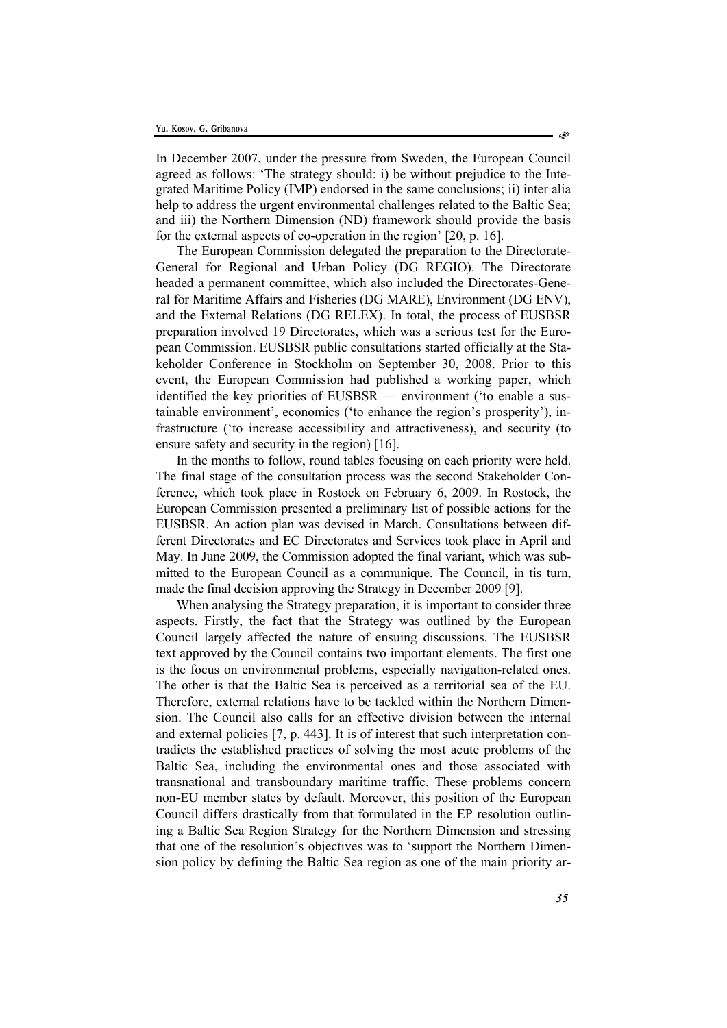In December 2007, under the pressure from Sweden, the European Council agreed as follows: 'The strategy should: i) be without prejudice to the Integrated Maritime Policy (IMP) endorsed in the same conclusions; ii) inter alia help to address the urgent environmental challenges related to the Baltic Sea; and iii) the Northern Dimension (ND) framework should provide the basis for the external aspects of co-operation in the region' [20, p. 16].

The European Commission delegated the preparation to the Directorate-General for Regional and Urban Policy (DG REGIO). The Directorate headed a permanent committee, which also included the Directorates-General for Maritime Affairs and Fisheries (DG MARE), Environment (DG ENV), and the External Relations (DG RELEX). In total, the process of EUSBSR preparation involved 19 Directorates, which was a serious test for the European Commission. EUSBSR public consultations started officially at the Stakeholder Conference in Stockholm on September 30, 2008. Prior to this event, the European Commission had published a working paper, which identified the key priorities of EUSBSR — environment ('to enable a sustainable environment', economics ('to enhance the region's prosperity'), infrastructure ('to increase accessibility and attractiveness), and security (to ensure safety and security in the region) [16].

In the months to follow, round tables focusing on each priority were held. The final stage of the consultation process was the second Stakeholder Conference, which took place in Rostock on February 6, 2009. In Rostock, the European Commission presented a preliminary list of possible actions for the EUSBSR. An action plan was devised in March. Consultations between different Directorates and EC Directorates and Services took place in April and May. In June 2009, the Commission adopted the final variant, which was submitted to the European Council as a communique. The Council, in tis turn, made the final decision approving the Strategy in December 2009 [9].

When analysing the Strategy preparation, it is important to consider three aspects. Firstly, the fact that the Strategy was outlined by the European Council largely affected the nature of ensuing discussions. The EUSBSR text approved by the Council contains two important elements. The first one is the focus on environmental problems, especially navigation-related ones. The other is that the Baltic Sea is perceived as a territorial sea of the EU. Therefore, external relations have to be tackled within the Northern Dimension. The Council also calls for an effective division between the internal and external policies [7, p. 443]. It is of interest that such interpretation contradicts the established practices of solving the most acute problems of the Baltic Sea, including the environmental ones and those associated with transnational and transboundary maritime traffic. These problems concern non-EU member states by default. Moreover, this position of the European Council differs drastically from that formulated in the EP resolution outlining a Baltic Sea Region Strategy for the Northern Dimension and stressing that one of the resolution's objectives was to 'support the Northern Dimension policy by defining the Baltic Sea region as one of the main priority ar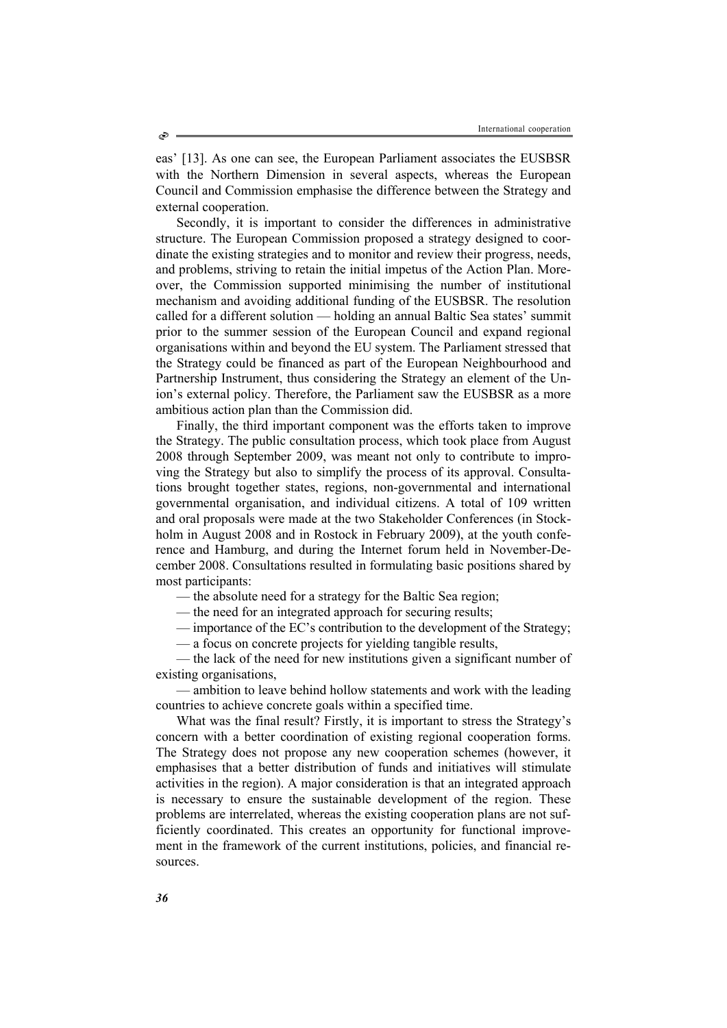eas' [13]. As one can see, the European Parliament associates the EUSBSR with the Northern Dimension in several aspects, whereas the European Council and Commission emphasise the difference between the Strategy and external cooperation.

Secondly, it is important to consider the differences in administrative structure. The European Commission proposed a strategy designed to coordinate the existing strategies and to monitor and review their progress, needs, and problems, striving to retain the initial impetus of the Action Plan. Moreover, the Commission supported minimising the number of institutional mechanism and avoiding additional funding of the EUSBSR. The resolution called for a different solution — holding an annual Baltic Sea states' summit prior to the summer session of the European Council and expand regional organisations within and beyond the EU system. The Parliament stressed that the Strategy could be financed as part of the European Neighbourhood and Partnership Instrument, thus considering the Strategy an element of the Union's external policy. Therefore, the Parliament saw the EUSBSR as a more ambitious action plan than the Commission did.

Finally, the third important component was the efforts taken to improve the Strategy. The public consultation process, which took place from August 2008 through September 2009, was meant not only to contribute to improving the Strategy but also to simplify the process of its approval. Consultations brought together states, regions, non-governmental and international governmental organisation, and individual citizens. A total of 109 written and oral proposals were made at the two Stakeholder Conferences (in Stockholm in August 2008 and in Rostock in February 2009), at the youth conference and Hamburg, and during the Internet forum held in November-December 2008. Consultations resulted in formulating basic positions shared by most participants:

— the absolute need for a strategy for the Baltic Sea region;

— the need for an integrated approach for securing results;

— importance of the EC's contribution to the development of the Strategy;

— a focus on concrete projects for yielding tangible results,

— the lack of the need for new institutions given a significant number of existing organisations,

— ambition to leave behind hollow statements and work with the leading countries to achieve concrete goals within a specified time.

What was the final result? Firstly, it is important to stress the Strategy's concern with a better coordination of existing regional cooperation forms. The Strategy does not propose any new cooperation schemes (however, it emphasises that a better distribution of funds and initiatives will stimulate activities in the region). A major consideration is that an integrated approach is necessary to ensure the sustainable development of the region. These problems are interrelated, whereas the existing cooperation plans are not sufficiently coordinated. This creates an opportunity for functional improvement in the framework of the current institutions, policies, and financial resources.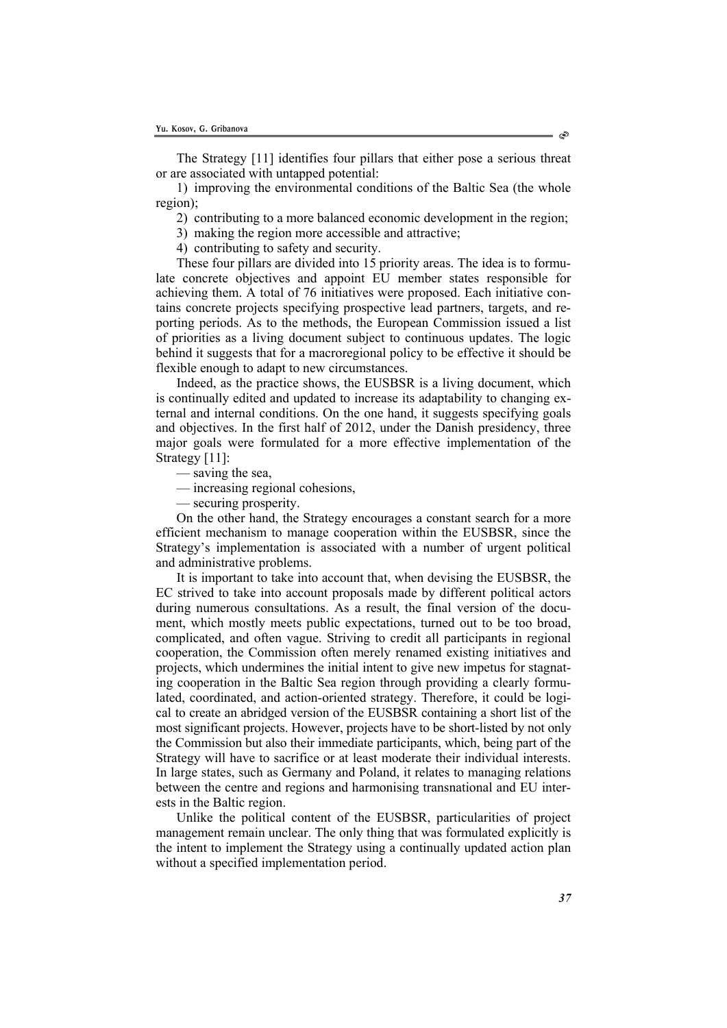The Strategy [11] identifies four pillars that either pose a serious threat or are associated with untapped potential:

1) improving the environmental conditions of the Baltic Sea (the whole region);

2) contributing to a more balanced economic development in the region;

3) making the region more accessible and attractive;

4) contributing to safety and security.

These four pillars are divided into 15 priority areas. The idea is to formulate concrete objectives and appoint EU member states responsible for achieving them. A total of 76 initiatives were proposed. Each initiative contains concrete projects specifying prospective lead partners, targets, and reporting periods. As to the methods, the European Commission issued a list of priorities as a living document subject to continuous updates. The logic behind it suggests that for a macroregional policy to be effective it should be flexible enough to adapt to new circumstances.

Indeed, as the practice shows, the EUSBSR is a living document, which is continually edited and updated to increase its adaptability to changing external and internal conditions. On the one hand, it suggests specifying goals and objectives. In the first half of 2012, under the Danish presidency, three major goals were formulated for a more effective implementation of the Strategy [11]:

— saving the sea,

— increasing regional cohesions,

— securing prosperity.

On the other hand, the Strategy encourages a constant search for a more efficient mechanism to manage cooperation within the EUSBSR, since the Strategy's implementation is associated with a number of urgent political and administrative problems.

It is important to take into account that, when devising the EUSBSR, the EC strived to take into account proposals made by different political actors during numerous consultations. As a result, the final version of the document, which mostly meets public expectations, turned out to be too broad, complicated, and often vague. Striving to credit all participants in regional cooperation, the Commission often merely renamed existing initiatives and projects, which undermines the initial intent to give new impetus for stagnating cooperation in the Baltic Sea region through providing a clearly formulated, coordinated, and action-oriented strategy. Therefore, it could be logical to create an abridged version of the EUSBSR containing a short list of the most significant projects. However, projects have to be short-listed by not only the Commission but also their immediate participants, which, being part of the Strategy will have to sacrifice or at least moderate their individual interests. In large states, such as Germany and Poland, it relates to managing relations between the centre and regions and harmonising transnational and EU interests in the Baltic region.

Unlike the political content of the EUSBSR, particularities of project management remain unclear. The only thing that was formulated explicitly is the intent to implement the Strategy using a continually updated action plan without a specified implementation period.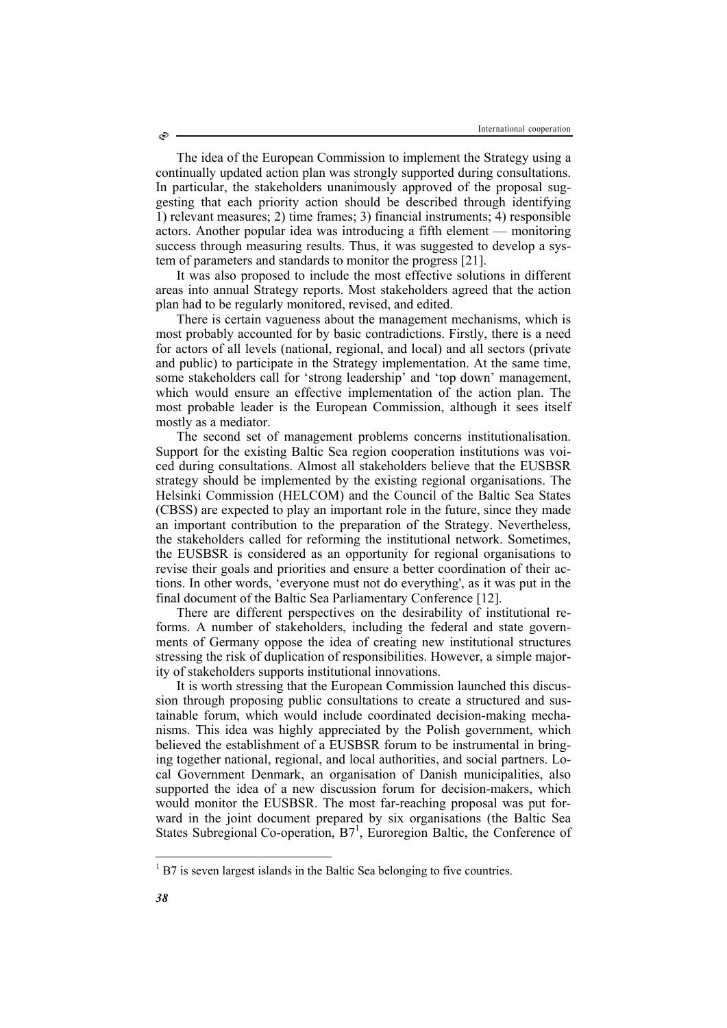The idea of the European Commission to implement the Strategy using a continually updated action plan was strongly supported during consultations. In particular, the stakeholders unanimously approved of the proposal suggesting that each priority action should be described through identifying 1) relevant measures; 2) time frames; 3) financial instruments; 4) responsible actors. Another popular idea was introducing a fifth element — monitoring success through measuring results. Thus, it was suggested to develop a system of parameters and standards to monitor the progress [21].

It was also proposed to include the most effective solutions in different areas into annual Strategy reports. Most stakeholders agreed that the action plan had to be regularly monitored, revised, and edited.

There is certain vagueness about the management mechanisms, which is most probably accounted for by basic contradictions. Firstly, there is a need for actors of all levels (national, regional, and local) and all sectors (private and public) to participate in the Strategy implementation. At the same time, some stakeholders call for 'strong leadership' and 'top down' management, which would ensure an effective implementation of the action plan. The most probable leader is the European Commission, although it sees itself mostly as a mediator.

The second set of management problems concerns institutionalisation. Support for the existing Baltic Sea region cooperation institutions was voiced during consultations. Almost all stakeholders believe that the EUSBSR strategy should be implemented by the existing regional organisations. The Helsinki Commission (HELCOM) and the Council of the Baltic Sea States (CBSS) are expected to play an important role in the future, since they made an important contribution to the preparation of the Strategy. Nevertheless, the stakeholders called for reforming the institutional network. Sometimes, the EUSBSR is considered as an opportunity for regional organisations to revise their goals and priorities and ensure a better coordination of their actions. In other words, 'everyone must not do everything', as it was put in the final document of the Baltic Sea Parliamentary Conference [12].

There are different perspectives on the desirability of institutional reforms. A number of stakeholders, including the federal and state governments of Germany oppose the idea of creating new institutional structures stressing the risk of duplication of responsibilities. However, a simple majority of stakeholders supports institutional innovations.

It is worth stressing that the European Commission launched this discussion through proposing public consultations to create a structured and sustainable forum, which would include coordinated decision-making mechanisms. This idea was highly appreciated by the Polish government, which believed the establishment of a EUSBSR forum to be instrumental in bringing together national, regional, and local authorities, and social partners. Local Government Denmark, an organisation of Danish municipalities, also supported the idea of a new discussion forum for decision-makers, which would monitor the EUSBSR. The most far-reaching proposal was put forward in the joint document prepared by six organisations (the Baltic Sea States Subregional Co-operation, B7<sup>1</sup>, Euroregion Baltic, the Conference of

l

<sup>&</sup>lt;sup>1</sup> B7 is seven largest islands in the Baltic Sea belonging to five countries.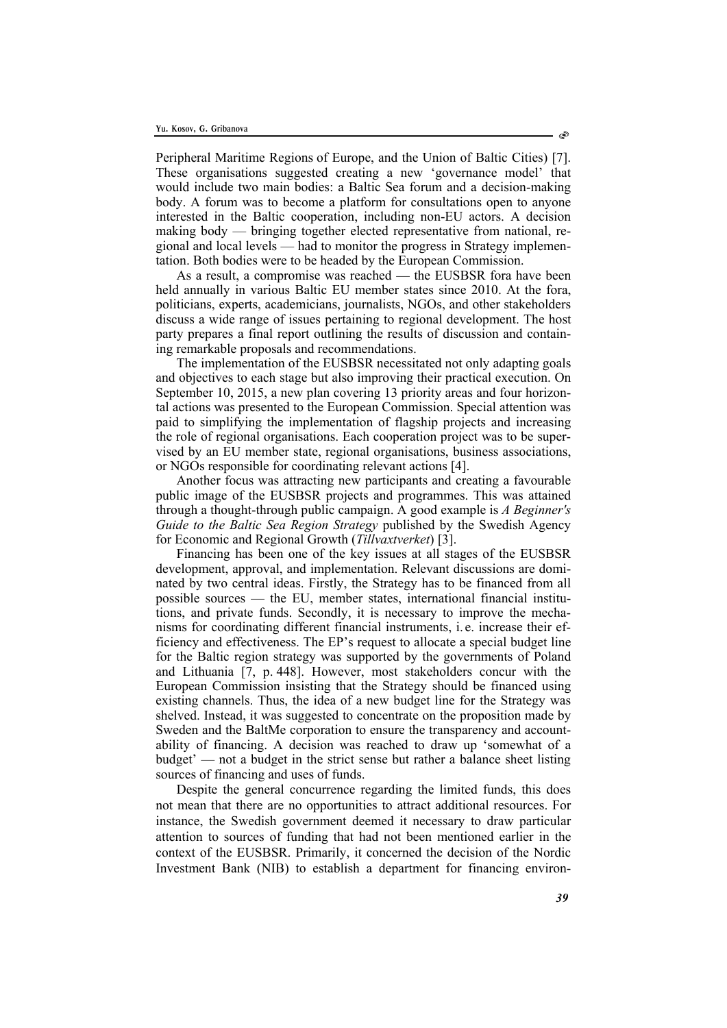Peripheral Maritime Regions of Europe, and the Union of Baltic Cities) [7]. These organisations suggested creating a new 'governance model' that would include two main bodies: a Baltic Sea forum and a decision-making body. A forum was to become a platform for consultations open to anyone interested in the Baltic cooperation, including non-EU actors. A decision making body — bringing together elected representative from national, regional and local levels — had to monitor the progress in Strategy implementation. Both bodies were to be headed by the European Commission.

As a result, a compromise was reached — the EUSBSR fora have been held annually in various Baltic EU member states since 2010. At the fora, politicians, experts, academicians, journalists, NGOs, and other stakeholders discuss a wide range of issues pertaining to regional development. The host party prepares a final report outlining the results of discussion and containing remarkable proposals and recommendations.

The implementation of the EUSBSR necessitated not only adapting goals and objectives to each stage but also improving their practical execution. On September 10, 2015, a new plan covering 13 priority areas and four horizontal actions was presented to the European Commission. Special attention was paid to simplifying the implementation of flagship projects and increasing the role of regional organisations. Each cooperation project was to be supervised by an EU member state, regional organisations, business associations, or NGOs responsible for coordinating relevant actions [4].

Another focus was attracting new participants and creating a favourable public image of the EUSBSR projects and programmes. This was attained through a thought-through public campaign. A good example is *A Beginner's Guide to the Baltic Sea Region Strategy* published by the Swedish Agency for Economic and Regional Growth (*Tillvaxtverket*) [3].

Financing has been one of the key issues at all stages of the EUSBSR development, approval, and implementation. Relevant discussions are dominated by two central ideas. Firstly, the Strategy has to be financed from all possible sources — the EU, member states, international financial institutions, and private funds. Secondly, it is necessary to improve the mechanisms for coordinating different financial instruments, i. e. increase their efficiency and effectiveness. The EP's request to allocate a special budget line for the Baltic region strategy was supported by the governments of Poland and Lithuania [7, р. 448]. However, most stakeholders concur with the European Commission insisting that the Strategy should be financed using existing channels. Thus, the idea of a new budget line for the Strategy was shelved. Instead, it was suggested to concentrate on the proposition made by Sweden and the BaltMe corporation to ensure the transparency and accountability of financing. A decision was reached to draw up 'somewhat of a budget' — not a budget in the strict sense but rather a balance sheet listing sources of financing and uses of funds.

Despite the general concurrence regarding the limited funds, this does not mean that there are no opportunities to attract additional resources. For instance, the Swedish government deemed it necessary to draw particular attention to sources of funding that had not been mentioned earlier in the context of the EUSBSR. Primarily, it concerned the decision of the Nordic Investment Bank (NIB) to establish a department for financing environ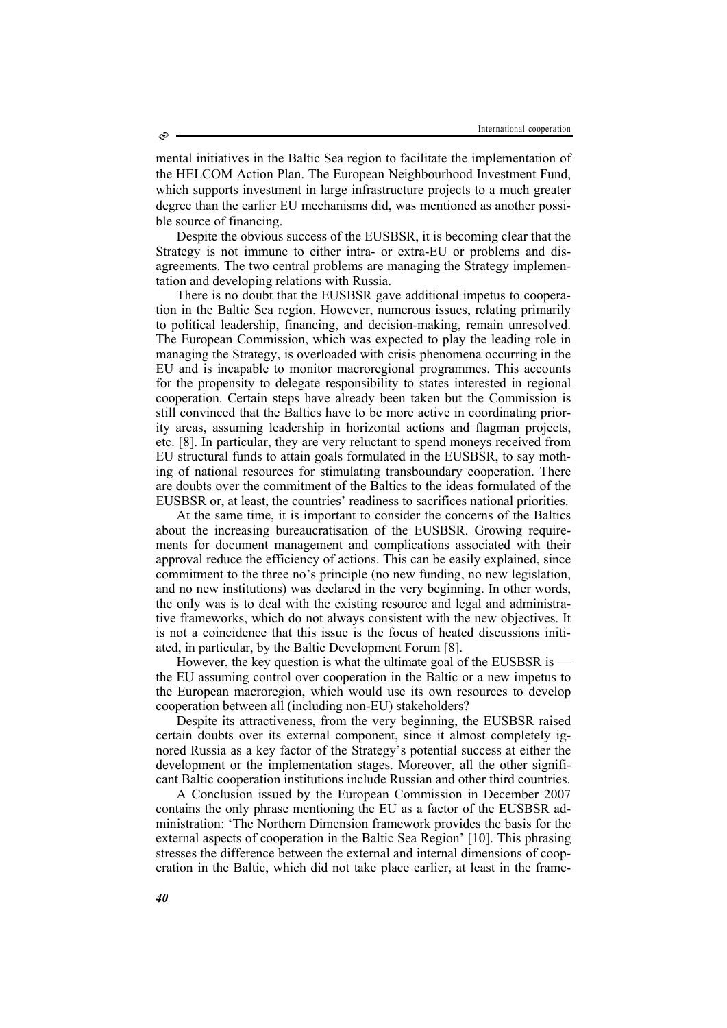mental initiatives in the Baltic Sea region to facilitate the implementation of the HELCOM Action Plan. The European Neighbourhood Investment Fund, which supports investment in large infrastructure projects to a much greater degree than the earlier EU mechanisms did, was mentioned as another possible source of financing.

Despite the obvious success of the EUSBSR, it is becoming clear that the Strategy is not immune to either intra- or extra-EU or problems and disagreements. The two central problems are managing the Strategy implementation and developing relations with Russia.

There is no doubt that the EUSBSR gave additional impetus to cooperation in the Baltic Sea region. However, numerous issues, relating primarily to political leadership, financing, and decision-making, remain unresolved. The European Commission, which was expected to play the leading role in managing the Strategy, is overloaded with crisis phenomena occurring in the EU and is incapable to monitor macroregional programmes. This accounts for the propensity to delegate responsibility to states interested in regional cooperation. Certain steps have already been taken but the Commission is still convinced that the Baltics have to be more active in coordinating priority areas, assuming leadership in horizontal actions and flagman projects, etc. [8]. In particular, they are very reluctant to spend moneys received from EU structural funds to attain goals formulated in the EUSBSR, to say mothing of national resources for stimulating transboundary cooperation. There are doubts over the commitment of the Baltics to the ideas formulated of the EUSBSR or, at least, the countries' readiness to sacrifices national priorities.

At the same time, it is important to consider the concerns of the Baltics about the increasing bureaucratisation of the EUSBSR. Growing requirements for document management and complications associated with their approval reduce the efficiency of actions. This can be easily explained, since commitment to the three no's principle (no new funding, no new legislation, and no new institutions) was declared in the very beginning. In other words, the only was is to deal with the existing resource and legal and administrative frameworks, which do not always consistent with the new objectives. It is not a coincidence that this issue is the focus of heated discussions initiated, in particular, by the Baltic Development Forum [8].

However, the key question is what the ultimate goal of the EUSBSR is the EU assuming control over cooperation in the Baltic or a new impetus to the European macroregion, which would use its own resources to develop cooperation between all (including non-EU) stakeholders?

Despite its attractiveness, from the very beginning, the EUSBSR raised certain doubts over its external component, since it almost completely ignored Russia as a key factor of the Strategy's potential success at either the development or the implementation stages. Moreover, all the other significant Baltic cooperation institutions include Russian and other third countries.

A Conclusion issued by the European Commission in December 2007 contains the only phrase mentioning the EU as a factor of the EUSBSR administration: 'The Northern Dimension framework provides the basis for the external aspects of cooperation in the Baltic Sea Region' [10]. This phrasing stresses the difference between the external and internal dimensions of cooperation in the Baltic, which did not take place earlier, at least in the frame-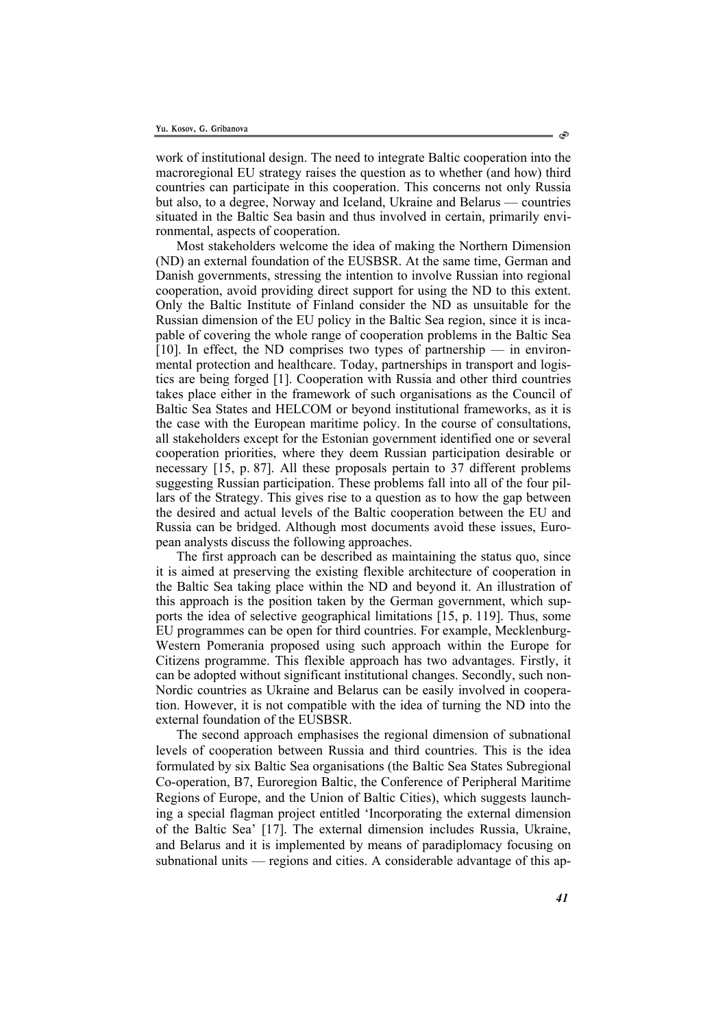work of institutional design. The need to integrate Baltic cooperation into the macroregional EU strategy raises the question as to whether (and how) third countries can participate in this cooperation. This concerns not only Russia but also, to a degree, Norway and Iceland, Ukraine and Belarus — countries situated in the Baltic Sea basin and thus involved in certain, primarily environmental, aspects of cooperation.

Most stakeholders welcome the idea of making the Northern Dimension (ND) an external foundation of the EUSBSR. At the same time, German and Danish governments, stressing the intention to involve Russian into regional cooperation, avoid providing direct support for using the ND to this extent. Only the Baltic Institute of Finland consider the ND as unsuitable for the Russian dimension of the EU policy in the Baltic Sea region, since it is incapable of covering the whole range of cooperation problems in the Baltic Sea [10]. In effect, the ND comprises two types of partnership — in environmental protection and healthcare. Today, partnerships in transport and logistics are being forged [1]. Cooperation with Russia and other third countries takes place either in the framework of such organisations as the Council of Baltic Sea States and HELCOM or beyond institutional frameworks, as it is the case with the European maritime policy. In the course of consultations, all stakeholders except for the Estonian government identified one or several cooperation priorities, where they deem Russian participation desirable or necessary [15, р. 87]. All these proposals pertain to 37 different problems suggesting Russian participation. These problems fall into all of the four pillars of the Strategy. This gives rise to a question as to how the gap between the desired and actual levels of the Baltic cooperation between the EU and Russia can be bridged. Although most documents avoid these issues, European analysts discuss the following approaches.

The first approach can be described as maintaining the status quo, since it is aimed at preserving the existing flexible architecture of cooperation in the Baltic Sea taking place within the ND and beyond it. An illustration of this approach is the position taken by the German government, which supports the idea of selective geographical limitations [15, р. 119]. Thus, some EU programmes can be open for third countries. For example, Mecklenburg-Western Pomerania proposed using such approach within the Europe for Citizens programme. This flexible approach has two advantages. Firstly, it can be adopted without significant institutional changes. Secondly, such non-Nordic countries as Ukraine and Belarus can be easily involved in cooperation. However, it is not compatible with the idea of turning the ND into the external foundation of the EUSBSR.

The second approach emphasises the regional dimension of subnational levels of cooperation between Russia and third countries. This is the idea formulated by six Baltic Sea organisations (the Baltic Sea States Subregional Co-operation, B7, Euroregion Baltic, the Conference of Peripheral Maritime Regions of Europe, and the Union of Baltic Cities), which suggests launching a special flagman project entitled 'Incorporating the external dimension of the Baltic Sea' [17]. The external dimension includes Russia, Ukraine, and Belarus and it is implemented by means of paradiplomacy focusing on subnational units — regions and cities. A considerable advantage of this ap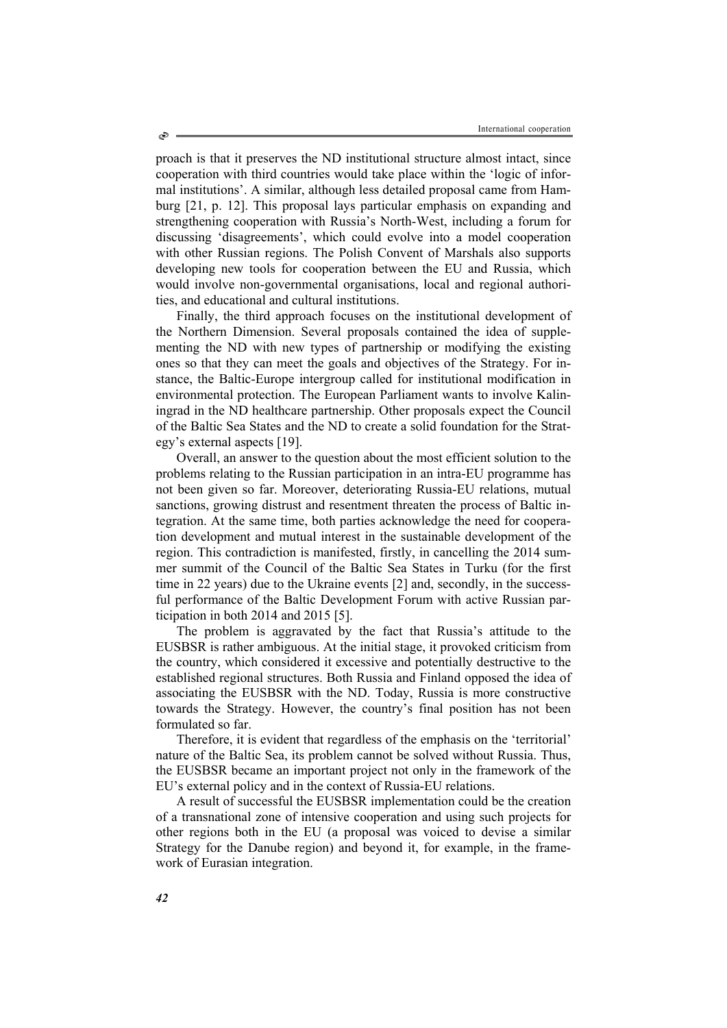proach is that it preserves the ND institutional structure almost intact, since cooperation with third countries would take place within the 'logic of informal institutions'. A similar, although less detailed proposal came from Hamburg [21, р. 12]. This proposal lays particular emphasis on expanding and strengthening cooperation with Russia's North-West, including a forum for discussing 'disagreements', which could evolve into a model cooperation with other Russian regions. The Polish Convent of Marshals also supports developing new tools for cooperation between the EU and Russia, which would involve non-governmental organisations, local and regional authorities, and educational and cultural institutions.

Finally, the third approach focuses on the institutional development of the Northern Dimension. Several proposals contained the idea of supplementing the ND with new types of partnership or modifying the existing ones so that they can meet the goals and objectives of the Strategy. For instance, the Baltic-Europe intergroup called for institutional modification in environmental protection. The European Parliament wants to involve Kaliningrad in the ND healthcare partnership. Other proposals expect the Council of the Baltic Sea States and the ND to create a solid foundation for the Strategy's external aspects [19].

Overall, an answer to the question about the most efficient solution to the problems relating to the Russian participation in an intra-EU programme has not been given so far. Moreover, deteriorating Russia-EU relations, mutual sanctions, growing distrust and resentment threaten the process of Baltic integration. At the same time, both parties acknowledge the need for cooperation development and mutual interest in the sustainable development of the region. This contradiction is manifested, firstly, in cancelling the 2014 summer summit of the Council of the Baltic Sea States in Turku (for the first time in 22 years) due to the Ukraine events [2] and, secondly, in the successful performance of the Baltic Development Forum with active Russian participation in both 2014 and 2015 [5].

The problem is aggravated by the fact that Russia's attitude to the EUSBSR is rather ambiguous. At the initial stage, it provoked criticism from the country, which considered it excessive and potentially destructive to the established regional structures. Both Russia and Finland opposed the idea of associating the EUSBSR with the ND. Today, Russia is more constructive towards the Strategy. However, the country's final position has not been formulated so far.

Therefore, it is evident that regardless of the emphasis on the 'territorial' nature of the Baltic Sea, its problem cannot be solved without Russia. Thus, the EUSBSR became an important project not only in the framework of the EU's external policy and in the context of Russia-EU relations.

A result of successful the EUSBSR implementation could be the creation of a transnational zone of intensive cooperation and using such projects for other regions both in the EU (a proposal was voiced to devise a similar Strategy for the Danube region) and beyond it, for example, in the framework of Eurasian integration.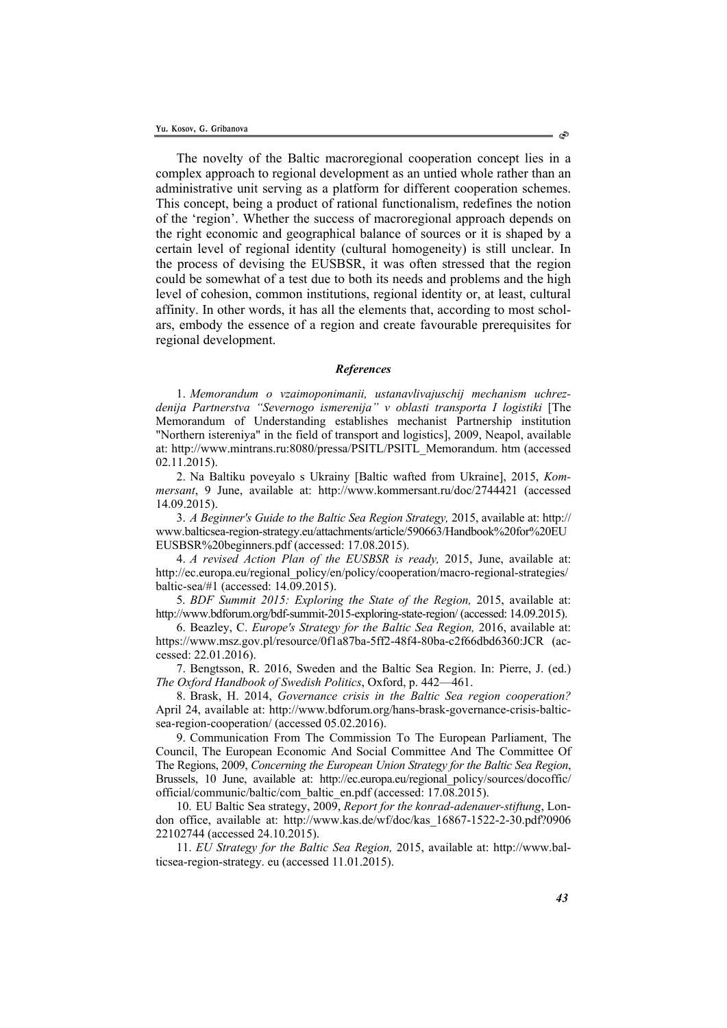The novelty of the Baltic macroregional cooperation concept lies in a complex approach to regional development as an untied whole rather than an administrative unit serving as a platform for different cooperation schemes. This concept, being a product of rational functionalism, redefines the notion of the 'region'. Whether the success of macroregional approach depends on the right economic and geographical balance of sources or it is shaped by a certain level of regional identity (cultural homogeneity) is still unclear. In the process of devising the EUSBSR, it was often stressed that the region could be somewhat of a test due to both its needs and problems and the high level of cohesion, common institutions, regional identity or, at least, cultural affinity. In other words, it has all the elements that, according to most scholars, embody the essence of a region and create favourable prerequisites for regional development.

## *References*

1. *Memorandum o vzaimoponimanii, ustanavlivajuschij mechanism uchrezdenija Partnerstva "Severnogo ismerenija" v oblasti transporta I logistiki* [The Memorandum of Understanding establishes mechanist Partnership institution "Northern istereniya" in the field of transport and logistics], 2009, Neapol, available at: http://www.mintrans.ru:8080/pressa/PSITL/PSITL\_Memorandum. htm (accessed 02.11.2015).

2. Na Baltiku poveyalo s Ukrainy [Baltic wafted from Ukraine], 2015, *Kommersant*, 9 June, available at: http://www.kommersant.ru/doc/2744421 (accessed 14.09.2015).

3. *A Beginner's Guide to the Baltic Sea Region Strategy,* 2015, available at: http:// www.balticsea-region-strategy.eu/attachments/article/590663/Handbook%20for%20EU EUSBSR%20beginners.pdf (accessed: 17.08.2015).

4. *A revised Action Plan of the EUSBSR is ready,* 2015, June, available at: http://ec.europa.eu/regional\_policy/en/policy/cooperation/macro-regional-strategies/ baltic-sea/#1 (accessed: 14.09.2015).

5. *BDF Summit 2015: Exploring the State of the Region,* 2015, available at: http://www.bdforum.org/bdf-summit-2015-exploring-state-region/ (accessed: 14.09.2015).

6. Beazley, C. *Europe's Strategy for the Baltic Sea Region,* 2016, available at: https://www.msz.gov.pl/resource/0f1a87ba-5ff2-48f4-80ba-c2f66dbd6360:JCR (accessed: 22.01.2016).

7. Bengtsson, R. 2016, Sweden and the Baltic Sea Region. In: Pierre, J. (ed.) *The Oxford Handbook of Swedish Politics*, Oxford, p. 442—461.

8. Brask, H. 2014, *Governance crisis in the Baltic Sea region cooperation?* April 24, available at: http://www.bdforum.org/hans-brask-governance-crisis-balticsea-region-cooperation/ (accessed 05.02.2016).

9. Communication From The Commission To The European Parliament, The Council, The European Economic And Social Committee And The Committee Of The Regions, 2009, *Concerning the European Union Strategy for the Baltic Sea Region*, Brussels, 10 June, available at: http://ec.europa.eu/regional\_policy/sources/docoffic/ official/communic/baltic/com\_baltic\_en.pdf (accessed: 17.08.2015).

10. EU Baltic Sea strategy, 2009, *Report for the konrad-adenauer-stiftung*, London office, available at: http://www.kas.de/wf/doc/kas\_16867-1522-2-30.pdf?0906 22102744 (accessed 24.10.2015).

11. *EU Strategy for the Baltic Sea Region,* 2015, available at: http://www.balticsea-region-strategy. eu (accessed 11.01.2015).